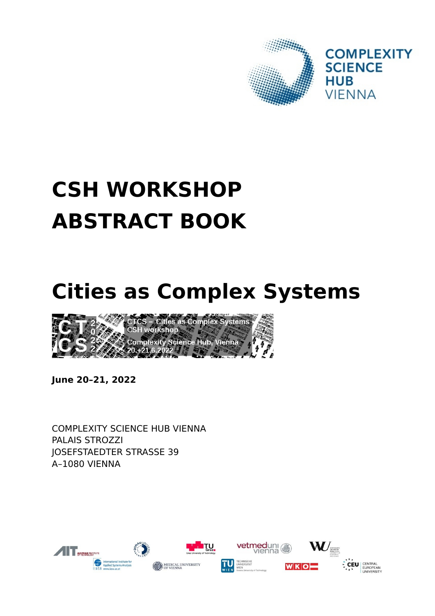

# **CSH WORKSHOP ABSTRACT BOOK**

# **Cities as Complex Systems**



**June 20–21, 2022**

COMPLEXITY SCIENCE HUB VIENNA PALAIS STROZZI JOSEFSTAEDTER STRASSE 39 A–1080 VIENNA

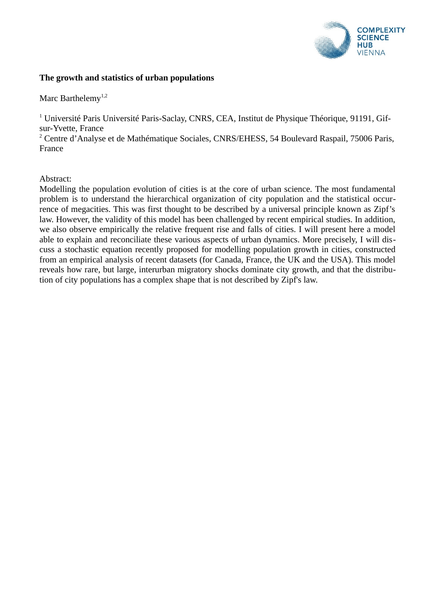

# **The growth and statistics of urban populations**

Marc Barthelemy<sup>1,2</sup>

 $^1$  Université Paris Université Paris-Saclay, CNRS, CEA, Institut de Physique Théorique, 91191, Gifsur-Yvette, France

<sup>2</sup> Centre d'Analyse et de Mathématique Sociales, CNRS/EHESS, 54 Boulevard Raspail, 75006 Paris, France

Abstract:

Modelling the population evolution of cities is at the core of urban science. The most fundamental problem is to understand the hierarchical organization of city population and the statistical occurrence of megacities. This was first thought to be described by a universal principle known as Zipf's law. However, the validity of this model has been challenged by recent empirical studies. In addition, we also observe empirically the relative frequent rise and falls of cities. I will present here a model able to explain and reconciliate these various aspects of urban dynamics. More precisely, I will discuss a stochastic equation recently proposed for modelling population growth in cities, constructed from an empirical analysis of recent datasets (for Canada, France, the UK and the USA). This model reveals how rare, but large, interurban migratory shocks dominate city growth, and that the distribution of city populations has a complex shape that is not described by Zipf's law.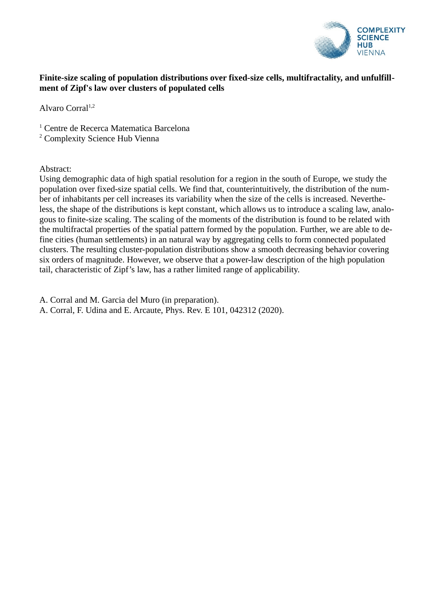

# **Finite-size scaling of population distributions over fixed-size cells, multifractality, and unfulfillment of Zipf's law over clusters of populated cells**

Alvaro Corral<sup>1,2</sup>

<sup>1</sup> Centre de Recerca Matematica Barcelona

<sup>2</sup> Complexity Science Hub Vienna

Abstract:

Using demographic data of high spatial resolution for a region in the south of Europe, we study the population over fixed-size spatial cells. We find that, counterintuitively, the distribution of the number of inhabitants per cell increases its variability when the size of the cells is increased. Nevertheless, the shape of the distributions is kept constant, which allows us to introduce a scaling law, analogous to finite-size scaling. The scaling of the moments of the distribution is found to be related with the multifractal properties of the spatial pattern formed by the population. Further, we are able to define cities (human settlements) in an natural way by aggregating cells to form connected populated clusters. The resulting cluster-population distributions show a smooth decreasing behavior covering six orders of magnitude. However, we observe that a power-law description of the high population tail, characteristic of Zipf's law, has a rather limited range of applicability.

A. Corral and M. Garcia del Muro (in preparation).

A. Corral, F. Udina and E. Arcaute, Phys. Rev. E 101, 042312 (2020).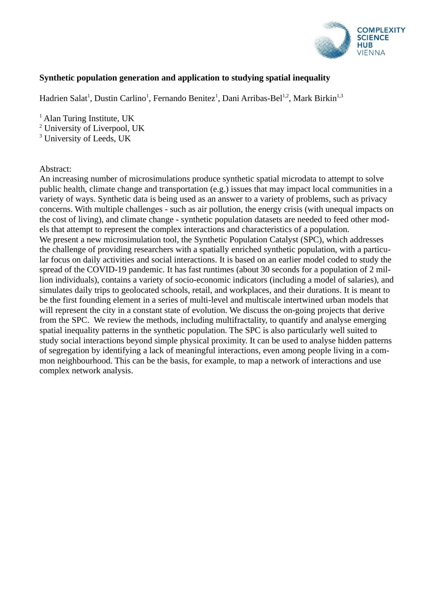

# **Synthetic population generation and application to studying spatial inequality**

Hadrien Salat<sup>1</sup>, Dustin Carlino<sup>1</sup>, Fernando Benitez<sup>1</sup>, Dani Arribas-Bel<sup>1,2</sup>, Mark Birkin<sup>1,3</sup>

<sup>1</sup> Alan Turing Institute, UK

<sup>2</sup> University of Liverpool, UK

<sup>3</sup> University of Leeds, UK

#### Abstract:

An increasing number of microsimulations produce synthetic spatial microdata to attempt to solve public health, climate change and transportation (e.g.) issues that may impact local communities in a variety of ways. Synthetic data is being used as an answer to a variety of problems, such as privacy concerns. With multiple challenges - such as air pollution, the energy crisis (with unequal impacts on the cost of living), and climate change - synthetic population datasets are needed to feed other models that attempt to represent the complex interactions and characteristics of a population. We present a new microsimulation tool, the Synthetic Population Catalyst (SPC), which addresses the challenge of providing researchers with a spatially enriched synthetic population, with a particular focus on daily activities and social interactions. It is based on an earlier model coded to study the spread of the COVID-19 pandemic. It has fast runtimes (about 30 seconds for a population of 2 million individuals), contains a variety of socio-economic indicators (including a model of salaries), and simulates daily trips to geolocated schools, retail, and workplaces, and their durations. It is meant to be the first founding element in a series of multi-level and multiscale intertwined urban models that will represent the city in a constant state of evolution. We discuss the on-going projects that derive from the SPC. We review the methods, including multifractality, to quantify and analyse emerging spatial inequality patterns in the synthetic population. The SPC is also particularly well suited to study social interactions beyond simple physical proximity. It can be used to analyse hidden patterns of segregation by identifying a lack of meaningful interactions, even among people living in a common neighbourhood. This can be the basis, for example, to map a network of interactions and use complex network analysis.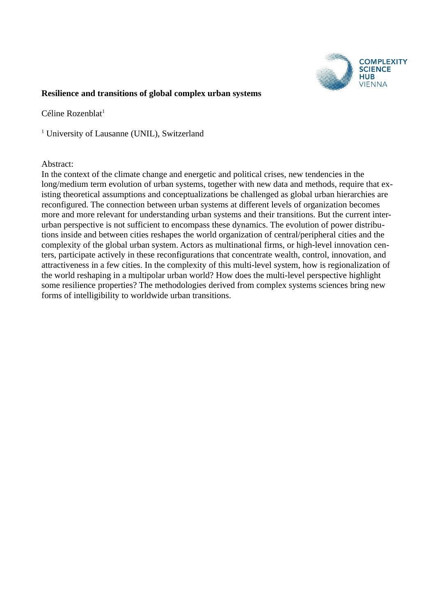

#### **Resilience and transitions of global complex urban systems**

 $C$ éline Rozenblat $^1$ 

<sup>1</sup> University of Lausanne (UNIL), Switzerland

#### Abstract:

In the context of the climate change and energetic and political crises, new tendencies in the long/medium term evolution of urban systems, together with new data and methods, require that existing theoretical assumptions and conceptualizations be challenged as global urban hierarchies are reconfigured. The connection between urban systems at different levels of organization becomes more and more relevant for understanding urban systems and their transitions. But the current interurban perspective is not sufficient to encompass these dynamics. The evolution of power distributions inside and between cities reshapes the world organization of central/peripheral cities and the complexity of the global urban system. Actors as multinational firms, or high-level innovation centers, participate actively in these reconfigurations that concentrate wealth, control, innovation, and attractiveness in a few cities. In the complexity of this multi-level system, how is regionalization of the world reshaping in a multipolar urban world? How does the multi-level perspective highlight some resilience properties? The methodologies derived from complex systems sciences bring new forms of intelligibility to worldwide urban transitions.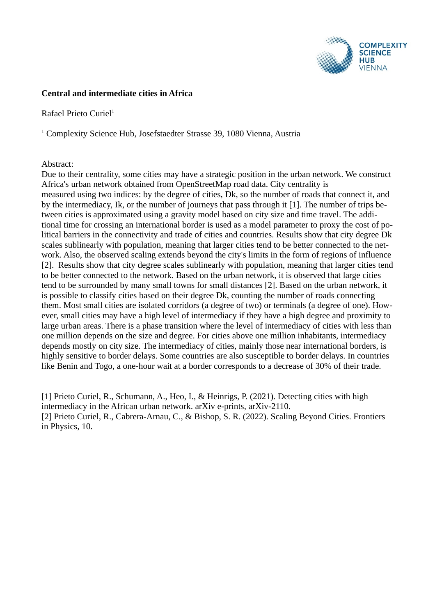

# **Central and intermediate cities in Africa**

# Rafael Prieto Curiel $1$

<sup>1</sup> Complexity Science Hub, Josefstaedter Strasse 39, 1080 Vienna, Austria

# Abstract:

Due to their centrality, some cities may have a strategic position in the urban network. We construct Africa's urban network obtained from OpenStreetMap road data. City centrality is measured using two indices: by the degree of cities, Dk, so the number of roads that connect it, and by the intermediacy, Ik, or the number of journeys that pass through it [1]. The number of trips between cities is approximated using a gravity model based on city size and time travel. The additional time for crossing an international border is used as a model parameter to proxy the cost of political barriers in the connectivity and trade of cities and countries. Results show that city degree Dk scales sublinearly with population, meaning that larger cities tend to be better connected to the network. Also, the observed scaling extends beyond the city's limits in the form of regions of influence [2]. Results show that city degree scales sublinearly with population, meaning that larger cities tend to be better connected to the network. Based on the urban network, it is observed that large cities tend to be surrounded by many small towns for small distances [2]. Based on the urban network, it is possible to classify cities based on their degree Dk, counting the number of roads connecting them. Most small cities are isolated corridors (a degree of two) or terminals (a degree of one). However, small cities may have a high level of intermediacy if they have a high degree and proximity to large urban areas. There is a phase transition where the level of intermediacy of cities with less than one million depends on the size and degree. For cities above one million inhabitants, intermediacy depends mostly on city size. The intermediacy of cities, mainly those near international borders, is highly sensitive to border delays. Some countries are also susceptible to border delays. In countries like Benin and Togo, a one-hour wait at a border corresponds to a decrease of 30% of their trade.

[1] Prieto Curiel, R., Schumann, A., Heo, I., & Heinrigs, P. (2021). Detecting cities with high intermediacy in the African urban network. arXiv e-prints, arXiv-2110. [2] Prieto Curiel, R., Cabrera-Arnau, C., & Bishop, S. R. (2022). Scaling Beyond Cities. Frontiers in Physics, 10.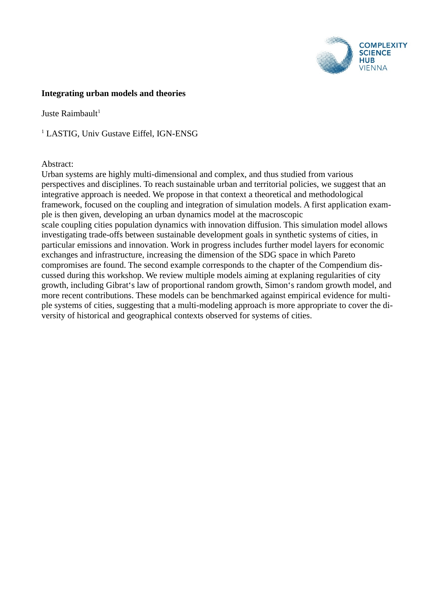

#### **Integrating urban models and theories**

Juste Raimbault $1$ 

<sup>1</sup> LASTIG, Univ Gustave Eiffel, IGN-ENSG

#### Abstract:

Urban systems are highly multi-dimensional and complex, and thus studied from various perspectives and disciplines. To reach sustainable urban and territorial policies, we suggest that an integrative approach is needed. We propose in that context a theoretical and methodological framework, focused on the coupling and integration of simulation models. A first application example is then given, developing an urban dynamics model at the macroscopic scale coupling cities population dynamics with innovation diffusion. This simulation model allows investigating trade-offs between sustainable development goals in synthetic systems of cities, in particular emissions and innovation. Work in progress includes further model layers for economic exchanges and infrastructure, increasing the dimension of the SDG space in which Pareto compromises are found. The second example corresponds to the chapter of the Compendium discussed during this workshop. We review multiple models aiming at explaning regularities of city growth, including Gibrat's law of proportional random growth, Simon's random growth model, and more recent contributions. These models can be benchmarked against empirical evidence for multiple systems of cities, suggesting that a multi-modeling approach is more appropriate to cover the diversity of historical and geographical contexts observed for systems of cities.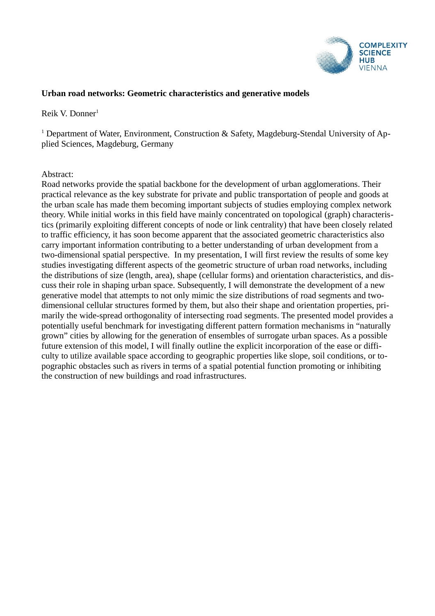

# **Urban road networks: Geometric characteristics and generative models**

#### Reik V. Donner<sup>1</sup>

<sup>1</sup> Department of Water, Environment, Construction & Safety, Magdeburg-Stendal University of Applied Sciences, Magdeburg, Germany

#### Abstract:

Road networks provide the spatial backbone for the development of urban agglomerations. Their practical relevance as the key substrate for private and public transportation of people and goods at the urban scale has made them becoming important subjects of studies employing complex network theory. While initial works in this field have mainly concentrated on topological (graph) characteristics (primarily exploiting different concepts of node or link centrality) that have been closely related to traffic efficiency, it has soon become apparent that the associated geometric characteristics also carry important information contributing to a better understanding of urban development from a two-dimensional spatial perspective. In my presentation, I will first review the results of some key studies investigating different aspects of the geometric structure of urban road networks, including the distributions of size (length, area), shape (cellular forms) and orientation characteristics, and discuss their role in shaping urban space. Subsequently, I will demonstrate the development of a new generative model that attempts to not only mimic the size distributions of road segments and twodimensional cellular structures formed by them, but also their shape and orientation properties, primarily the wide-spread orthogonality of intersecting road segments. The presented model provides a potentially useful benchmark for investigating different pattern formation mechanisms in "naturally grown" cities by allowing for the generation of ensembles of surrogate urban spaces. As a possible future extension of this model, I will finally outline the explicit incorporation of the ease or difficulty to utilize available space according to geographic properties like slope, soil conditions, or topographic obstacles such as rivers in terms of a spatial potential function promoting or inhibiting the construction of new buildings and road infrastructures.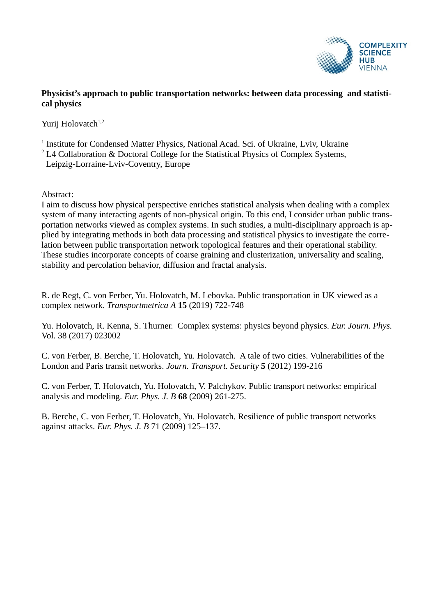

# **Physicist's approach to public transportation networks: between data processing and statistical physics**

Yurij Holovatch<sup>1,2</sup>

<sup>1</sup> Institute for Condensed Matter Physics, National Acad. Sci. of Ukraine, Lviv, Ukraine

 $2^2$  L4 Collaboration & Doctoral College for the Statistical Physics of Complex Systems,

Leipzig-Lorraine-Lviv-Coventry, Europe

Abstract:

I aim to discuss how physical perspective enriches statistical analysis when dealing with a complex system of many interacting agents of non-physical origin. To this end, I consider urban public transportation networks viewed as complex systems. In such studies, a multi-disciplinary approach is applied by integrating methods in both data processing and statistical physics to investigate the correlation between public transportation network topological features and their operational stability. These studies incorporate concepts of coarse graining and clusterization, universality and scaling, stability and percolation behavior, diffusion and fractal analysis.

R. de Regt, C. von Ferber, Yu. Holovatch, M. Lebovka. Public transportation in UK viewed as a complex network. *Transportmetrica A* **15** (2019) 722-748

Yu. Holovatch, R. Kenna, S. Thurner. Complex systems: physics beyond physics. *Eur. Journ. Phys.* Vol. 38 (2017) 023002

C. von Ferber, B. Berche, T. Holovatch, Yu. Holovatch. A tale of two cities. Vulnerabilities of the London and Paris transit networks. *Journ. Transport. Security* **5** (2012) 199-216

C. von Ferber, T. Holovatch, Yu. Holovatch, V. Palchykov. Public transport networks: empirical analysis and modeling. *Eur. Phys. J. B* **68** (2009) 261-275.

B. Berche, C. von Ferber, T. Holovatch, Yu. Holovatch. Resilience of public transport networks against attacks. *Eur. Phys. J. B* 71 (2009) 125–137.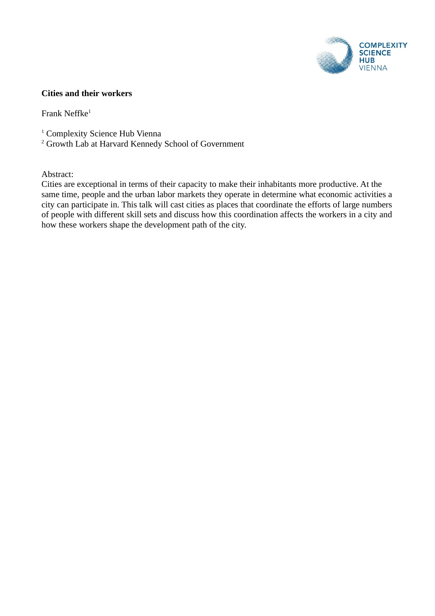

# **Cities and their workers**

Frank Neffke $1$ 

- <sup>1</sup> Complexity Science Hub Vienna
- <sup>2</sup> Growth Lab at Harvard Kennedy School of Government

Abstract:

Cities are exceptional in terms of their capacity to make their inhabitants more productive. At the same time, people and the urban labor markets they operate in determine what economic activities a city can participate in. This talk will cast cities as places that coordinate the efforts of large numbers of people with different skill sets and discuss how this coordination affects the workers in a city and how these workers shape the development path of the city.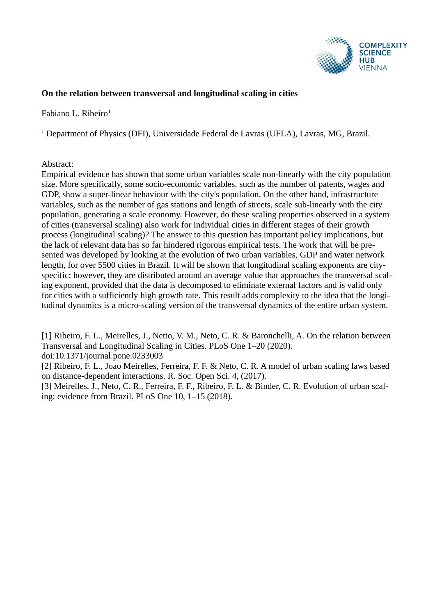

# **On the relation between transversal and longitudinal scaling in cities**

Fabiano L. Ribeiro $<sup>1</sup>$ </sup>

<sup>1</sup> Department of Physics (DFI), Universidade Federal de Lavras (UFLA), Lavras, MG, Brazil.

# Abstract:

Empirical evidence has shown that some urban variables scale non-linearly with the city population size. More specifically, some socio-economic variables, such as the number of patents, wages and GDP, show a super-linear behaviour with the city's population. On the other hand, infrastructure variables, such as the number of gas stations and length of streets, scale sub-linearly with the city population, generating a scale economy. However, do these scaling properties observed in a system of cities (transversal scaling) also work for individual cities in different stages of their growth process (longitudinal scaling)? The answer to this question has important policy implications, but the lack of relevant data has so far hindered rigorous empirical tests. The work that will be presented was developed by looking at the evolution of two urban variables, GDP and water network length, for over 5500 cities in Brazil. It will be shown that longitudinal scaling exponents are cityspecific; however, they are distributed around an average value that approaches the transversal scaling exponent, provided that the data is decomposed to eliminate external factors and is valid only for cities with a sufficiently high growth rate. This result adds complexity to the idea that the longitudinal dynamics is a micro-scaling version of the transversal dynamics of the entire urban system.

[1] Ribeiro, F. L., Meirelles, J., Netto, V. M., Neto, C. R. & Baronchelli, A. On the relation between Transversal and Longitudinal Scaling in Cities. PLoS One 1–20 (2020). doi:10.1371/journal.pone.0233003

[2] Ribeiro, F. L., Joao Meirelles, Ferreira, F. F. & Neto, C. R. A model of urban scaling laws based on distance-dependent interactions. R. Soc. Open Sci. 4, (2017).

[3] Meirelles, J., Neto, C. R., Ferreira, F. F., Ribeiro, F. L. & Binder, C. R. Evolution of urban scaling: evidence from Brazil. PLoS One 10, 1–15 (2018).